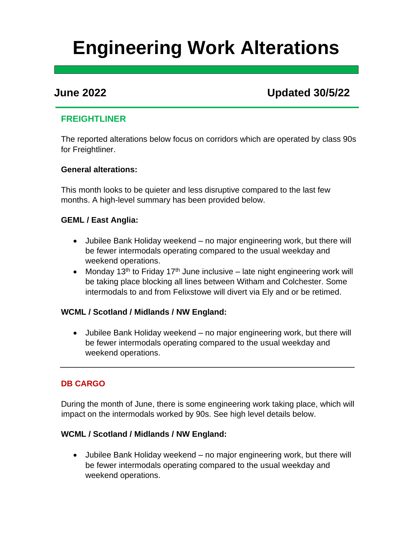# **Engineering Work Alterations**

## **June 2022 Updated 30/5/22**

### **FREIGHTLINER**

The reported alterations below focus on corridors which are operated by class 90s for Freightliner.

#### **General alterations:**

This month looks to be quieter and less disruptive compared to the last few months. A high-level summary has been provided below.

#### **GEML / East Anglia:**

- Jubilee Bank Holiday weekend no major engineering work, but there will be fewer intermodals operating compared to the usual weekday and weekend operations.
- Monday 13<sup>th</sup> to Friday 17<sup>th</sup> June inclusive late night engineering work will be taking place blocking all lines between Witham and Colchester. Some intermodals to and from Felixstowe will divert via Ely and or be retimed.

#### **WCML / Scotland / Midlands / NW England:**

• Jubilee Bank Holiday weekend – no major engineering work, but there will be fewer intermodals operating compared to the usual weekday and weekend operations.

#### **DB CARGO**

During the month of June, there is some engineering work taking place, which will impact on the intermodals worked by 90s. See high level details below.

#### **WCML / Scotland / Midlands / NW England:**

• Jubilee Bank Holiday weekend – no major engineering work, but there will be fewer intermodals operating compared to the usual weekday and weekend operations.